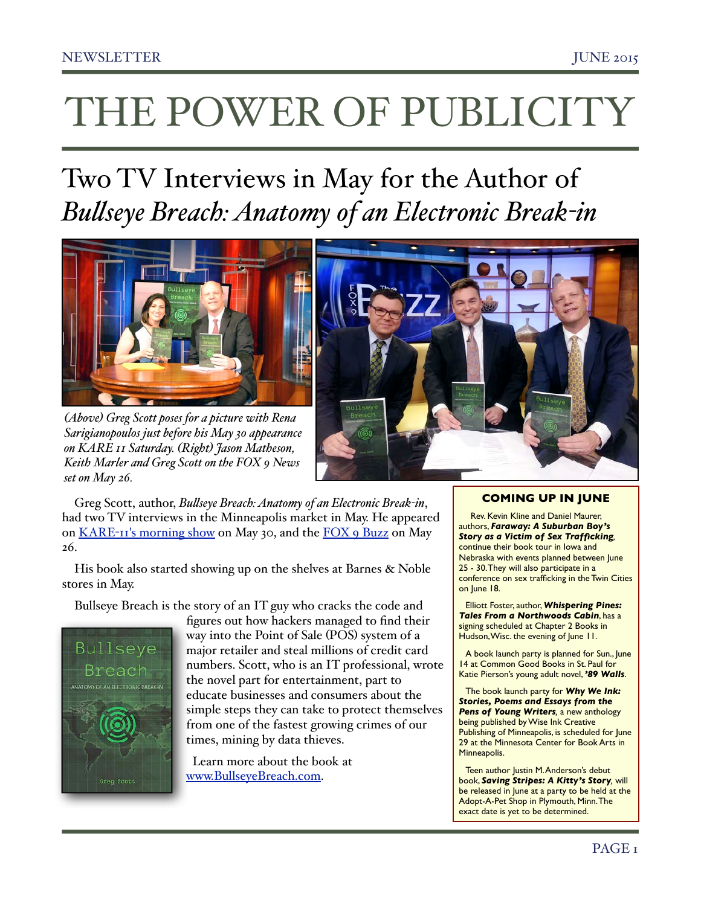# THE POWER OF PUBLICITY

# Two TV Interviews in May for the Author of *Bulseye Breach: Anatomy of an Electronic Break-in*



*(Above) Greg Scott poses for a picture with Rena Sarigianopoulos just before his May 30 appearance on KARE 11 Saturday. (Right) Jason Matheson, Keith Marler and Greg Scott on the FOX 9 News set on May 26.*

Greg Scott, author, *Bulseye Breach: Anatomy of an Electronic Break-in*, had two TV interviews in the Minneapolis market in May. He appeared on KARE-[11's morning show](http://www.kare11.com/story/life/2015/05/29/author-it-professional-greg-scott-on-bullseye-breach/28148749/) on May 30, and the [FOX 9 Buzz](https://www.youtube.com/watch?v=7ER8pvvim14) on May 26.

His book also started showing up on the shelves at Barnes & Noble stores in May.

Bullseye Breach is the story of an IT guy who cracks the code and



figures out how hackers managed to find their way into the Point of Sale (POS) system of a major retailer and steal millions of credit card numbers. Scott, who is an IT professional, wrote the novel part for entertainment, part to educate businesses and consumers about the simple steps they can take to protect themselves from one of the fastest growing crimes of our times, mining by data thieves.

 Learn more about the book at [www.BullseyeBreach.com.](http://www.BullseyeBreach.com)



# **COMING UP IN JUNE**

 Rev. Kevin Kline and Daniel Maurer, authors, *Faraway: A Suburban Boy's Story as a Victim of Sex Trafficking,*  continue their book tour in Iowa and Nebraska with events planned between June 25 - 30. They will also participate in a conference on sex trafficking in the Twin Cities on June 18.

Elliott Foster, author, *Whispering Pines: Tales From a Northwoods Cabin*, has a signing scheduled at Chapter 2 Books in Hudson, Wisc. the evening of June 11.

A book launch party is planned for Sun., June 14 at Common Good Books in St. Paul for Katie Pierson's young adult novel, *'89 Walls*.

The book launch party for *Why We Ink: Stories, Poems and Essays from the Pens of Young Writers,* a new anthology being published by Wise Ink Creative Publishing of Minneapolis, is scheduled for June 29 at the Minnesota Center for Book Arts in Minneapolis.

Teen author Justin M. Anderson's debut book, *Saving Stripes: A Kitty's Story,* will be released in June at a party to be held at the Adopt-A-Pet Shop in Plymouth, Minn. The exact date is yet to be determined.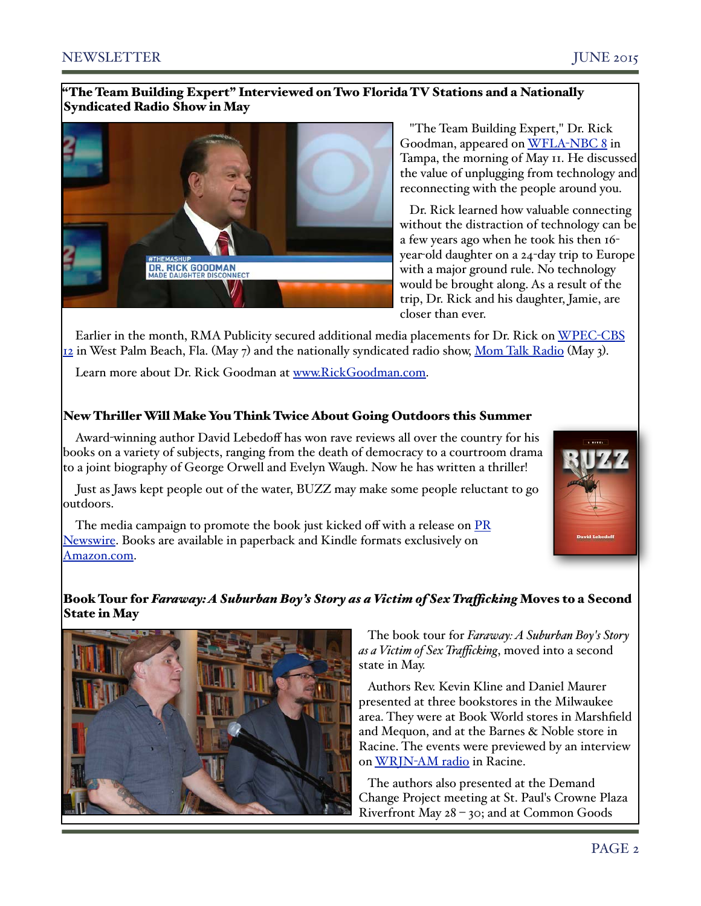# "The Team Building Expert" Interviewed on Two Florida TV Stations and a Nationally Syndicated Radio Show in May



 "The Team Building Expert," Dr. Rick Goodman, appeared on [WFLA](https://www.youtube.com/watch?v=StOj9VGh0wQ)-NBC 8 in Tampa, the morning of May 11. He discussed the value of unplugging from technology and reconnecting with the people around you.

 Dr. Rick learned how valuable connecting without the distraction of technology can be a few years ago when he took his then 16 year-old daughter on a 24-day trip to Europe with a major ground rule. No technology would be brought along. As a result of the trip, Dr. Rick and his daughter, Jamie, are closer than ever.

Earlier in the month, RMA Publicity secured additional media placements for Dr. Rick on [WPEC](https://www.youtube.com/watch?v=CLRrVV0iWms)-CBS  $_{12}$  in West Palm Beach, Fla. (May 7) and the nationally syndicated radio show, [Mom Talk Radio](http://www.rmapublicity.com/images/stories/Audio/Rick%20Goodman%20-%20Mom%20Talk%20Radio%20-%20May%203,%202015.mp3) (May 3).

Learn more about Dr. Rick Goodman at [www.RickGoodman.com](http://www.RickGoodman.com)[.](http://www.rickgoodman.com./)

# New Thriller Will Make You Think Twice About Going Outdoors this Summer

Award-winning author David Lebedoff has won rave reviews all over the country for his books on a variety of subjects, ranging from the death of democracy to a courtroom drama to a joint biography of George Orwell and Evelyn Waugh. Now he has written a thriller!

Just as Jaws kept people out of the water, BUZZ may make some people reluctant to go outdoors.

The media campaign to promote the book just kicked off with a release on **PR** [Newswire.](http://www.prnewswire.com/news-releases/lebedoffs-new-novel-makes-minnesota-ground-zero-for-the-worst-terror-attack-in-us-history-300089976.html?tc=eml_cleartime) Books are available in paperback and Kindle formats exclusively on [Amazon.com.](http://amzn.com/1511837500)



# Book Tour for *Faraway: A Suburban Boy's Story as a Victim of Sex Trafcking* Moves to a Second State in May



 The book tour for *Faraway: A Suburban Boy's Story as a Victim of Sex Trafficking*, moved into a second state in May.

 Authors Rev. Kevin Kline and Daniel Maurer presented at three bookstores in the Milwaukee area. They were at Book World stores in Marshfield and Mequon, and at the Barnes & Noble store in Racine. The events were previewed by an interview on WRJN-[AM radio](http://www.rmapublicity.com/images/stories/Audio/Faraway%20-%20WRJN%20Radio,%20Racine%20-%20May%2013,%202015.mp3) in Racine.

 The authors also presented at the Demand Change Project meeting at St. Paul's Crowne Plaza Riverfront May 28 – 30; and at Common Goods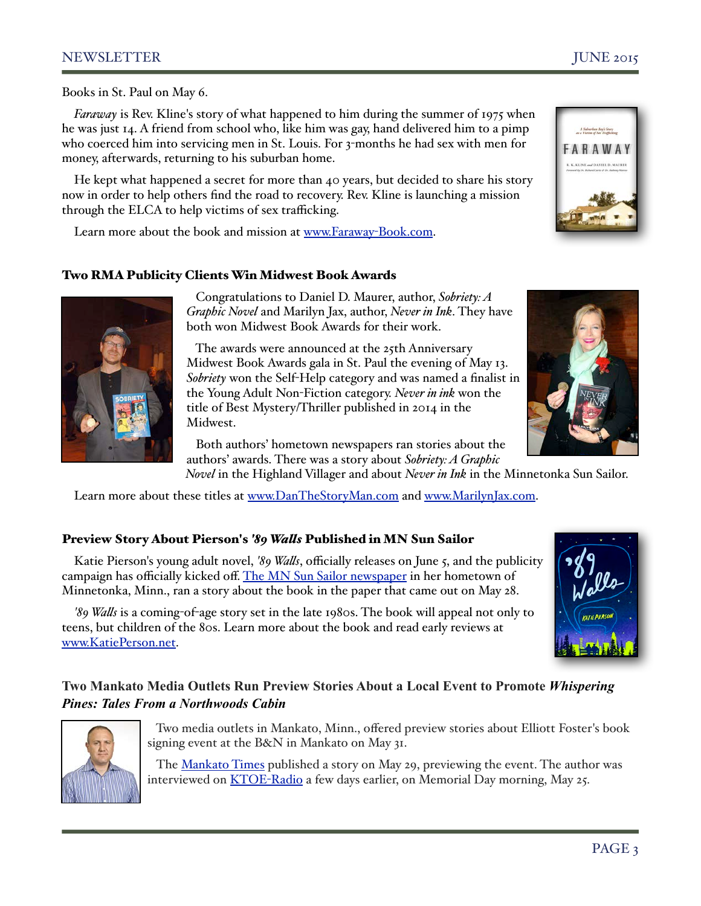# NEWSLETTER JUNE 2015

.<br>A Suburban Boy's Story<br>o a Victim of See Trafficking FARAWAY

Books in St. Paul on May 6.

*Faraway* is Rev. Kline's story of what happened to him during the summer of 1975 when he was just 14. A friend from school who, like him was gay, hand delivered him to a pimp who coerced him into servicing men in St. Louis. For 3-months he had sex with men for money, afterwards, returning to his suburban home.

He kept what happened a secret for more than 40 years, but decided to share his story now in order to help others find the road to recovery. Rev. Kline is launching a mission through the ELCA to help victims of sex trafficking.

Learn more about the book and mission at [www.Faraway](http://www.Faraway-Book.com)-Book.com.

# Two RMA Publicity Clients Win Midwest Book Awards



 Congratulations to Daniel D. Maurer, author, *Sobriety: A Graphic Novel* and Marilyn Jax, author, *Never in Ink*. They have both won Midwest Book Awards for their work.

 The awards were announced at the 25th Anniversary Midwest Book Awards gala in St. Paul the evening of May 13. *Sobriety* won the Self-Help category and was named a finalist in the Young Adult Non-Fiction category. *Never in ink* won the title of Best Mystery/Thriller published in 2014 in the Midwest.

 Both authors' hometown newspapers ran stories about the authors' awards. There was a story about *Sobriety: A Graphic* 

*Novel* in the Highland Villager and about *Never in Ink* in the Minnetonka Sun Sailor.

Learn more about these titles at [www.DanTheStoryMan.com](http://www.DanTheStoryMan.com) and [www.MarilynJax.com.](http://www.MarilynJax.com)

# Preview Story About Pierson's *'89 Wals* Published in MN Sun Sailor

Katie Pierson's young adult novel, *'89 Wals*, officially releases on June 5, and the publicity campaign has officially kicked off. [The MN Sun Sailor newspaper](http://sailor.mnsun.com/%E2%80%A6/abortion-struggles-of-the-80s-in%E2%80%A6/) in her hometown of Minnetonka, Minn., ran a story about the book in the paper that came out on May 28.

*'89 Wals* is a coming-of-age story set in the late 1980s. The book will appeal not only to teens, but children of the 80s. Learn more about the book and read early reviews at [www.KatiePerson.net.](http://www.KatiePerson.net)



# **Two Mankato Media Outlets Run Preview Stories About a Local Event to Promote** *Whispering Pines: Tales From a Northwoods Cabin*



 Two media outlets in Mankato, Minn., offered preview stories about Elliott Foster's book signing event at the B&N in Mankato on May 31.

The [Mankato Times](http://mankatotimes.com/2015/05/28/how-do-you-keep-family-memories-alive/) published a story on May 29, previewing the event. The author was interviewed on **KTOE-Radio** a few days earlier, on Memorial Day morning, May 25.

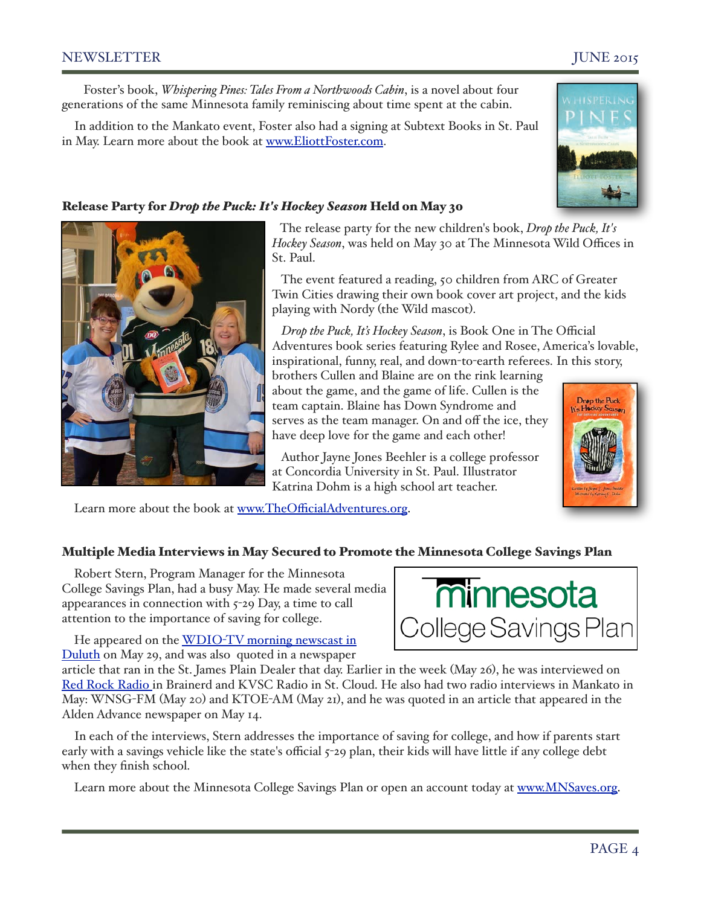# NEWSLETTER JUNE 2015

 Foster's book, *Whispering Pines: Tales From a Northwoods Cabin*, is a novel about four generations of the same Minnesota family reminiscing about time spent at the cabin.

In addition to the Mankato event, Foster also had a signing at Subtext Books in St. Paul in May. Learn more about the book at [www.EliottFoster.com.](http://www.EliottFoster.com)

# Release Party for *Drop the Puck: It's Hockey Season* Held on May 30

 The release party for the new children's book, *Drop the Puck, It's Hockey Season*, was held on May 30 at The Minnesota Wild Offices in St. Paul.

 The event featured a reading, 50 children from ARC of Greater Twin Cities drawing their own book cover art project, and the kids playing with Nordy (the Wild mascot).

 *Drop the Puck, It's Hockey Season*, is Book One in The Official Adventures book series featuring Rylee and Rosee, America's lovable, inspirational, funny, real, and down-to-earth referees. In this story,

brothers Cullen and Blaine are on the rink learning about the game, and the game of life. Cullen is the team captain. Blaine has Down Syndrome and serves as the team manager. On and off the ice, they have deep love for the game and each other!

 Author Jayne Jones Beehler is a college professor at Concordia University in St. Paul. Illustrator Katrina Dohm is a high school art teacher.

Learn more about the book at www.TheOffi[cialAdventures.org.](http://www.TheOfficialAdventures.org)

# Multiple Media Interviews in May Secured to Promote the Minnesota College Savings Plan

Robert Stern, Program Manager for the Minnesota College Savings Plan, had a busy May. He made several media appearances in connection with 5-29 Day, a time to call attention to the importance of saving for college.

He appeared on the WDIO-TV morning newscast in [Duluth](http://www.wdio.com/article/stories/S3810552.shtml?cat=10349) on May 29, and was also quoted in a newspaper

article that ran in the St. James Plain Dealer that day. Earlier in the week (May 26), he was interviewed on [Red Rock Radio i](http://www.rmapublicity.com/images/stories/Audio/TIAA%20CREF%20-%20MN%20College%20Savings%20Plan%20-%20WWWI%20Radio,%20Brainerd%20-%20May%2028,%202014.mp3)n Brainerd and KVSC Radio in St. Cloud. He also had two radio interviews in Mankato in May: WNSG-FM (May 20) and KTOE-AM (May 21), and he was quoted in an article that appeared in the Alden Advance newspaper on May 14.

In each of the interviews, Stern addresses the importance of saving for college, and how if parents start early with a savings vehicle like the state's official 5-29 plan, their kids will have little if any college debt when they finish school.

Learn more about the Minnesota College Savings Plan or open an account today at [www.MNSaves.org.](http://www.MNSaves.org)



minnesota

College Savings Plan



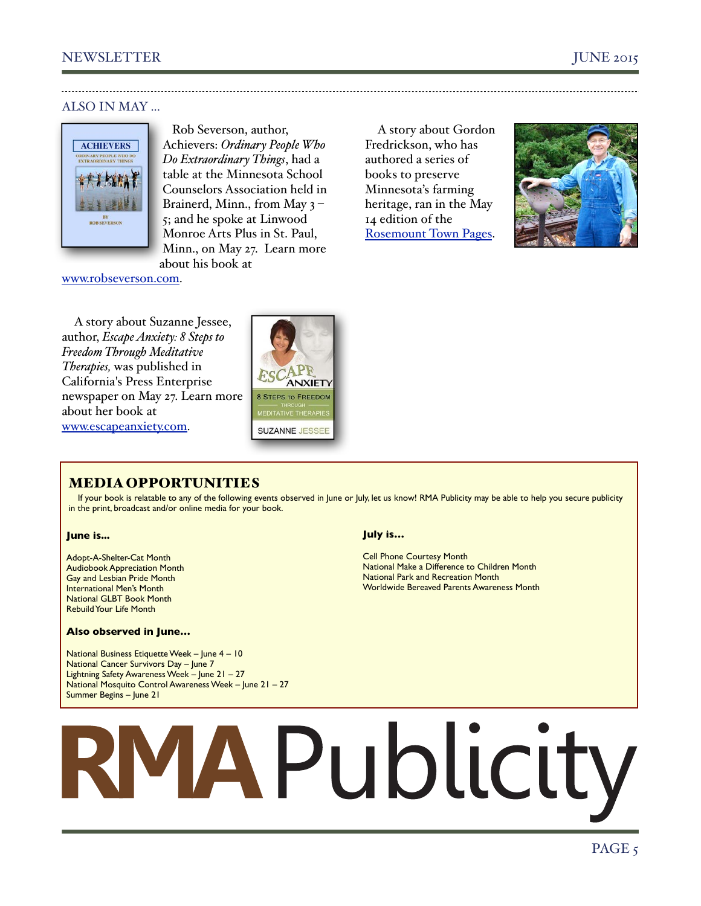# ALSO IN MAY ...



 Rob Severson, author, Achievers: *Ordinary People Who Do Extraordinary Things*, had a table at the Minnesota School Counselors Association held in Brainerd, Minn., from May 3 – 5; and he spoke at Linwood Monroe Arts Plus in St. Paul, Minn., on May 27. Learn more about his book at

A story about Gordon Fredrickson, who has authored a series of books to preserve Minnesota's farming heritage, ran in the May 14 edition of the [Rosemount Town Pages.](http://www.rosemounttownpages.com/news/3744976-author-gordon-fredrickson-works-preserve-farming-heritage)



# [www.robseverson.com.](http://www.robseverson.com)

A story about Suzanne Jessee, author, *Escape Anxiety: 8 Steps to Freedom Through Meditative Therapies,* was published in California's Press Enterprise newspaper on May 27. Learn more about her book at [www.escapeanxiety.com.](http://www.escapeanxiety.com/)



# MEDIA OPPORTUNITIES

If your book is relatable to any of the following events observed in June or July, let us know! RMA Publicity may be able to help you secure publicity in the print, broadcast and/or online media for your book.

# **June is...**

Adopt-A-Shelter-Cat Month Audiobook Appreciation Month Gay and Lesbian Pride Month International Men's Month National GLBT Book Month Rebuild Your Life Month

## **Also observed in June…**

National Business Etiquette Week – June 4 – 10 National Cancer Survivors Day – June 7 Lightning Safety Awareness Week – June 21 – 27 National Mosquito Control Awareness Week – June 21 – 27 Summer Begins – June 21

# **July is…**

Cell Phone Courtesy Month National Make a Difference to Children Month National Park and Recreation Month Worldwide Bereaved Parents Awareness Month

# **RMAPublicity**